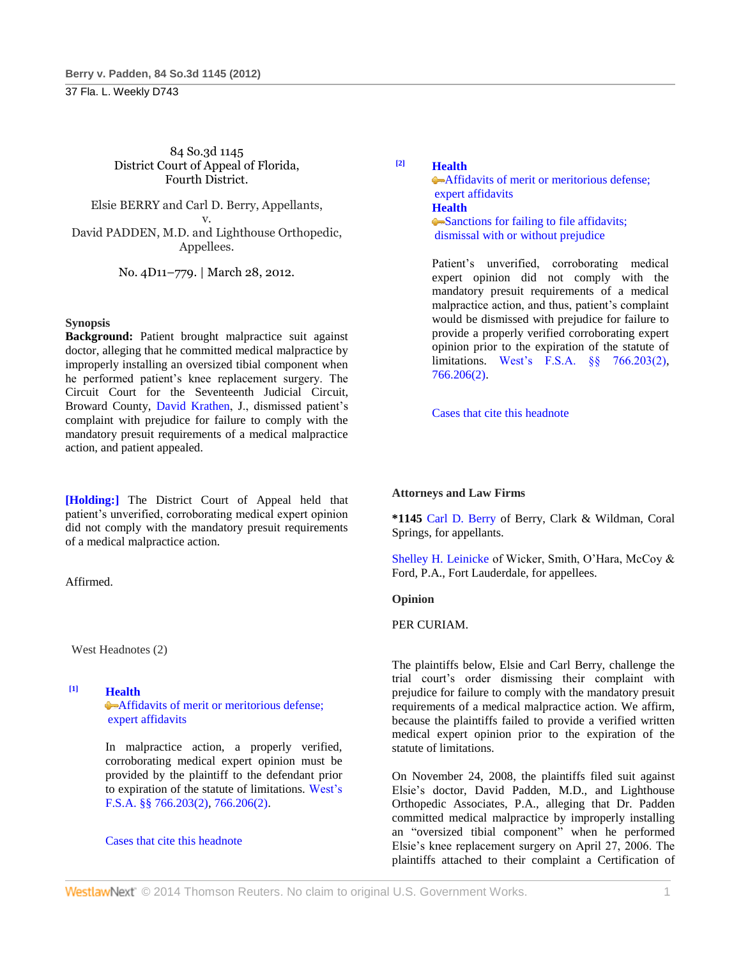37 Fla. L. Weekly D743

84 So.3d 1145 District Court of Appeal of Florida, Fourth District.

Elsie BERRY and Carl D. Berry, Appellants, v. David PADDEN, M.D. and Lighthouse Orthopedic, Appellees.

No. 4D11–779. | March 28, 2012.

## **Synopsis**

**Background:** Patient brought malpractice suit against doctor, alleging that he committed medical malpractice by improperly installing an oversized tibial component when he performed patient's knee replacement surgery. The Circuit Court for the Seventeenth Judicial Circuit, Broward County, [David Krathen,](http://www.westlaw.com/Link/Document/FullText?findType=h&pubNum=176284&cite=0289046601&originatingDoc=I45296ee278e611e1ac60ad556f635d49&refType=RQ&originationContext=document&vr=3.0&rs=cblt1.0&transitionType=DocumentItem&contextData=(sc.Default)) J., dismissed patient's complaint with prejudice for failure to comply with the mandatory presuit requirements of a medical malpractice action, and patient appealed.

**[Holding:]** The District Court of Appeal held that patient's unverified, corroborating medical expert opinion did not comply with the mandatory presuit requirements of a medical malpractice action.

Affirmed.

West Headnotes (2)

# **[1] [Health](http://www.westlaw.com/Browse/Home/KeyNumber/198H/View.html?docGuid=I45296ee278e611e1ac60ad556f635d49&originationContext=document&vr=3.0&rs=cblt1.0&transitionType=DocumentItem&contextData=(sc.Default))**

[Affidavits of merit or meritorious defense;](http://www.westlaw.com/Browse/Home/KeyNumber/198Hk804/View.html?docGuid=I45296ee278e611e1ac60ad556f635d49&originationContext=document&vr=3.0&rs=cblt1.0&transitionType=DocumentItem&contextData=(sc.Default))  [expert affidavits](http://www.westlaw.com/Browse/Home/KeyNumber/198Hk804/View.html?docGuid=I45296ee278e611e1ac60ad556f635d49&originationContext=document&vr=3.0&rs=cblt1.0&transitionType=DocumentItem&contextData=(sc.Default))

In malpractice action, a properly verified, corroborating medical expert opinion must be provided by the plaintiff to the defendant prior to expiration of the statute of limitations. [West's](http://www.westlaw.com/Link/Document/FullText?findType=L&pubNum=1000006&cite=FLSTS766.203&originatingDoc=I45296ee278e611e1ac60ad556f635d49&refType=SP&originationContext=document&vr=3.0&rs=cblt1.0&transitionType=DocumentItem&contextData=(sc.Default)#co_pp_58730000872b1)  [F.S.A. §§ 766.203\(2\),](http://www.westlaw.com/Link/Document/FullText?findType=L&pubNum=1000006&cite=FLSTS766.203&originatingDoc=I45296ee278e611e1ac60ad556f635d49&refType=SP&originationContext=document&vr=3.0&rs=cblt1.0&transitionType=DocumentItem&contextData=(sc.Default)#co_pp_58730000872b1) [766.206\(2\).](http://www.westlaw.com/Link/Document/FullText?findType=L&pubNum=1000006&cite=FLSTS766.206&originatingDoc=I45296ee278e611e1ac60ad556f635d49&refType=SP&originationContext=document&vr=3.0&rs=cblt1.0&transitionType=DocumentItem&contextData=(sc.Default)#co_pp_58730000872b1)

### [Cases that cite this headnote](http://www.westlaw.com/Link/RelatedInformation/DocHeadnoteLink?docGuid=I45296ee278e611e1ac60ad556f635d49&headnoteId=202739255500120120626161115&originationContext=document&vr=3.0&rs=cblt1.0&transitionType=CitingReferences&contextData=(sc.Default))

**[2] [Health](http://www.westlaw.com/Browse/Home/KeyNumber/198H/View.html?docGuid=I45296ee278e611e1ac60ad556f635d49&originationContext=document&vr=3.0&rs=cblt1.0&transitionType=DocumentItem&contextData=(sc.Default))**

**Affidavits of merit or meritorious defense;** [expert affidavits](http://www.westlaw.com/Browse/Home/KeyNumber/198Hk804/View.html?docGuid=I45296ee278e611e1ac60ad556f635d49&originationContext=document&vr=3.0&rs=cblt1.0&transitionType=DocumentItem&contextData=(sc.Default)) **[Health](http://www.westlaw.com/Browse/Home/KeyNumber/198H/View.html?docGuid=I45296ee278e611e1ac60ad556f635d49&originationContext=document&vr=3.0&rs=cblt1.0&transitionType=DocumentItem&contextData=(sc.Default))** • Sanctions for failing to file affidavits; [dismissal with or without prejudice](http://www.westlaw.com/Browse/Home/KeyNumber/198Hk805/View.html?docGuid=I45296ee278e611e1ac60ad556f635d49&originationContext=document&vr=3.0&rs=cblt1.0&transitionType=DocumentItem&contextData=(sc.Default))

Patient's unverified, corroborating medical expert opinion did not comply with the mandatory presuit requirements of a medical malpractice action, and thus, patient's complaint would be dismissed with prejudice for failure to provide a properly verified corroborating expert opinion prior to the expiration of the statute of limitations. [West's F.S.A. §§ 766.203\(2\),](http://www.westlaw.com/Link/Document/FullText?findType=L&pubNum=1000006&cite=FLSTS766.203&originatingDoc=I45296ee278e611e1ac60ad556f635d49&refType=SP&originationContext=document&vr=3.0&rs=cblt1.0&transitionType=DocumentItem&contextData=(sc.Default)#co_pp_58730000872b1) [766.206\(2\).](http://www.westlaw.com/Link/Document/FullText?findType=L&pubNum=1000006&cite=FLSTS766.206&originatingDoc=I45296ee278e611e1ac60ad556f635d49&refType=SP&originationContext=document&vr=3.0&rs=cblt1.0&transitionType=DocumentItem&contextData=(sc.Default)#co_pp_58730000872b1)

[Cases that cite this headnote](http://www.westlaw.com/Link/RelatedInformation/DocHeadnoteLink?docGuid=I45296ee278e611e1ac60ad556f635d49&headnoteId=202739255500220120626161115&originationContext=document&vr=3.0&rs=cblt1.0&transitionType=CitingReferences&contextData=(sc.Default))

## **Attorneys and Law Firms**

**\*1145** [Carl D. Berry](http://www.westlaw.com/Link/Document/FullText?findType=h&pubNum=176284&cite=0154397701&originatingDoc=I45296ee278e611e1ac60ad556f635d49&refType=RQ&originationContext=document&vr=3.0&rs=cblt1.0&transitionType=DocumentItem&contextData=(sc.Default)) of Berry, Clark & Wildman, Coral Springs, for appellants.

[Shelley H. Leinicke](http://www.westlaw.com/Link/Document/FullText?findType=h&pubNum=176284&cite=0129903101&originatingDoc=I45296ee278e611e1ac60ad556f635d49&refType=RQ&originationContext=document&vr=3.0&rs=cblt1.0&transitionType=DocumentItem&contextData=(sc.Default)) of Wicker, Smith, O'Hara, McCoy & Ford, P.A., Fort Lauderdale, for appellees.

## **Opinion**

PER CURIAM.

The plaintiffs below, Elsie and Carl Berry, challenge the trial court's order dismissing their complaint with prejudice for failure to comply with the mandatory presuit requirements of a medical malpractice action. We affirm, because the plaintiffs failed to provide a verified written medical expert opinion prior to the expiration of the statute of limitations.

On November 24, 2008, the plaintiffs filed suit against Elsie's doctor, David Padden, M.D., and Lighthouse Orthopedic Associates, P.A., alleging that Dr. Padden committed medical malpractice by improperly installing an "oversized tibial component" when he performed Elsie's knee replacement surgery on April 27, 2006. The plaintiffs attached to their complaint a Certification of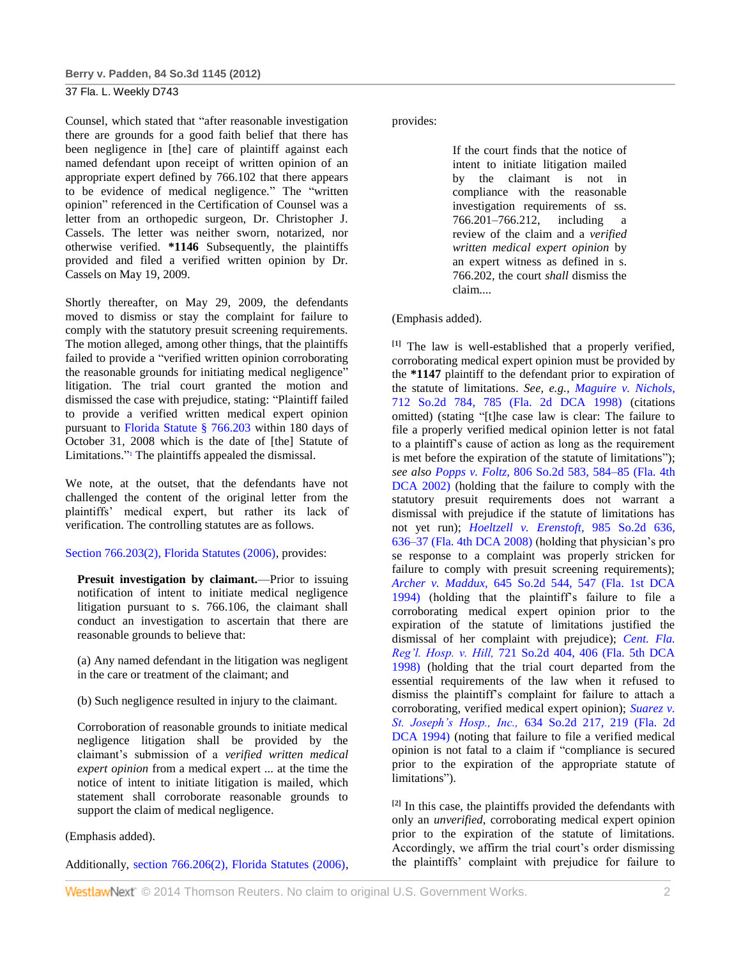## 37 Fla. L. Weekly D743

Counsel, which stated that "after reasonable investigation there are grounds for a good faith belief that there has been negligence in [the] care of plaintiff against each named defendant upon receipt of written opinion of an appropriate expert defined by 766.102 that there appears to be evidence of medical negligence." The "written opinion" referenced in the Certification of Counsel was a letter from an orthopedic surgeon, Dr. Christopher J. Cassels. The letter was neither sworn, notarized, nor otherwise verified. **\*1146** Subsequently, the plaintiffs provided and filed a verified written opinion by Dr. Cassels on May 19, 2009.

Shortly thereafter, on May 29, 2009, the defendants moved to dismiss or stay the complaint for failure to comply with the statutory presuit screening requirements. The motion alleged, among other things, that the plaintiffs failed to provide a "verified written opinion corroborating the reasonable grounds for initiating medical negligence" litigation. The trial court granted the motion and dismissed the case with prejudice, stating: "Plaintiff failed to provide a verified written medical expert opinion pursuant to [Florida Statute § 766.203](http://www.westlaw.com/Link/Document/FullText?findType=L&pubNum=1000006&cite=FLSTS766.203&originatingDoc=I45296ee278e611e1ac60ad556f635d49&refType=LQ&originationContext=document&vr=3.0&rs=cblt1.0&transitionType=DocumentItem&contextData=(sc.Default)) within 180 days of October 31, 2008 which is the date of [the] Statute of Limitations."<sup>1</sup> The plaintiffs appealed the dismissal.

We note, at the outset, that the defendants have not challenged the content of the original letter from the plaintiffs' medical expert, but rather its lack of verification. The controlling statutes are as follows.

## [Section 766.203\(2\), Florida Statutes \(2006\),](http://www.westlaw.com/Link/Document/FullText?findType=L&pubNum=1000006&cite=FLSTS766.203&originatingDoc=I45296ee278e611e1ac60ad556f635d49&refType=SP&originationContext=document&vr=3.0&rs=cblt1.0&transitionType=DocumentItem&contextData=(sc.Default)#co_pp_58730000872b1) provides:

**Presuit investigation by claimant.**—Prior to issuing notification of intent to initiate medical negligence litigation pursuant to s. 766.106, the claimant shall conduct an investigation to ascertain that there are reasonable grounds to believe that:

(a) Any named defendant in the litigation was negligent in the care or treatment of the claimant; and

(b) Such negligence resulted in injury to the claimant.

Corroboration of reasonable grounds to initiate medical negligence litigation shall be provided by the claimant's submission of a *verified written medical expert opinion* from a medical expert ... at the time the notice of intent to initiate litigation is mailed, which statement shall corroborate reasonable grounds to support the claim of medical negligence.

## (Emphasis added).

Additionally, [section 766.206\(2\), Florida Statutes \(2006\),](http://www.westlaw.com/Link/Document/FullText?findType=L&pubNum=1000006&cite=FLSTS766.206&originatingDoc=I45296ee278e611e1ac60ad556f635d49&refType=SP&originationContext=document&vr=3.0&rs=cblt1.0&transitionType=DocumentItem&contextData=(sc.Default)#co_pp_58730000872b1)

provides:

If the court finds that the notice of intent to initiate litigation mailed by the claimant is not in compliance with the reasonable investigation requirements of ss. 766.201–766.212, including a review of the claim and a *verified written medical expert opinion* by an expert witness as defined in s. 766.202, the court *shall* dismiss the claim....

(Emphasis added).

**[1]** The law is well-established that a properly verified, corroborating medical expert opinion must be provided by the **\*1147** plaintiff to the defendant prior to expiration of the statute of limitations. *See, e.g., [Maguire v. Nichols,](http://www.westlaw.com/Link/Document/FullText?findType=Y&serNum=1998139802&pubNum=735&fi=co_pp_sp_735_785&originationContext=document&vr=3.0&rs=cblt1.0&transitionType=DocumentItem&contextData=(sc.Default)#co_pp_sp_735_785)* [712 So.2d 784, 785 \(Fla. 2d DCA 1998\)](http://www.westlaw.com/Link/Document/FullText?findType=Y&serNum=1998139802&pubNum=735&fi=co_pp_sp_735_785&originationContext=document&vr=3.0&rs=cblt1.0&transitionType=DocumentItem&contextData=(sc.Default)#co_pp_sp_735_785) (citations omitted) (stating "[t]he case law is clear: The failure to file a properly verified medical opinion letter is not fatal to a plaintiff's cause of action as long as the requirement is met before the expiration of the statute of limitations"); *see also Popps v. Foltz,* [806 So.2d 583, 584–85 \(Fla. 4th](http://www.westlaw.com/Link/Document/FullText?findType=Y&serNum=2002100900&pubNum=735&fi=co_pp_sp_735_584&originationContext=document&vr=3.0&rs=cblt1.0&transitionType=DocumentItem&contextData=(sc.Default)#co_pp_sp_735_584)  [DCA 2002\)](http://www.westlaw.com/Link/Document/FullText?findType=Y&serNum=2002100900&pubNum=735&fi=co_pp_sp_735_584&originationContext=document&vr=3.0&rs=cblt1.0&transitionType=DocumentItem&contextData=(sc.Default)#co_pp_sp_735_584) (holding that the failure to comply with the statutory presuit requirements does not warrant a dismissal with prejudice if the statute of limitations has not yet run); *[Hoeltzell v. Erenstoft,](http://www.westlaw.com/Link/Document/FullText?findType=Y&serNum=2016331077&pubNum=735&fi=co_pp_sp_735_636&originationContext=document&vr=3.0&rs=cblt1.0&transitionType=DocumentItem&contextData=(sc.Default)#co_pp_sp_735_636)* 985 So.2d 636, [636–37 \(Fla. 4th DCA 2008\)](http://www.westlaw.com/Link/Document/FullText?findType=Y&serNum=2016331077&pubNum=735&fi=co_pp_sp_735_636&originationContext=document&vr=3.0&rs=cblt1.0&transitionType=DocumentItem&contextData=(sc.Default)#co_pp_sp_735_636) (holding that physician's pro se response to a complaint was properly stricken for failure to comply with presuit screening requirements); *Archer v. Maddux,* [645 So.2d 544, 547 \(Fla. 1st DCA](http://www.westlaw.com/Link/Document/FullText?findType=Y&serNum=1994226684&pubNum=735&fi=co_pp_sp_735_547&originationContext=document&vr=3.0&rs=cblt1.0&transitionType=DocumentItem&contextData=(sc.Default)#co_pp_sp_735_547)  [1994\)](http://www.westlaw.com/Link/Document/FullText?findType=Y&serNum=1994226684&pubNum=735&fi=co_pp_sp_735_547&originationContext=document&vr=3.0&rs=cblt1.0&transitionType=DocumentItem&contextData=(sc.Default)#co_pp_sp_735_547) (holding that the plaintiff's failure to file a corroborating medical expert opinion prior to the expiration of the statute of limitations justified the dismissal of her complaint with prejudice); *[Cent. Fla.](http://www.westlaw.com/Link/Document/FullText?findType=Y&serNum=1998241037&pubNum=735&fi=co_pp_sp_735_406&originationContext=document&vr=3.0&rs=cblt1.0&transitionType=DocumentItem&contextData=(sc.Default)#co_pp_sp_735_406)  Reg'l. Hosp. v. Hill,* [721 So.2d 404, 406 \(Fla. 5th DCA](http://www.westlaw.com/Link/Document/FullText?findType=Y&serNum=1998241037&pubNum=735&fi=co_pp_sp_735_406&originationContext=document&vr=3.0&rs=cblt1.0&transitionType=DocumentItem&contextData=(sc.Default)#co_pp_sp_735_406)  [1998\)](http://www.westlaw.com/Link/Document/FullText?findType=Y&serNum=1998241037&pubNum=735&fi=co_pp_sp_735_406&originationContext=document&vr=3.0&rs=cblt1.0&transitionType=DocumentItem&contextData=(sc.Default)#co_pp_sp_735_406) (holding that the trial court departed from the essential requirements of the law when it refused to dismiss the plaintiff's complaint for failure to attach a corroborating, verified medical expert opinion); *[Suarez v.](http://www.westlaw.com/Link/Document/FullText?findType=Y&serNum=1994071176&pubNum=735&fi=co_pp_sp_735_219&originationContext=document&vr=3.0&rs=cblt1.0&transitionType=DocumentItem&contextData=(sc.Default)#co_pp_sp_735_219)  St. Joseph's Hosp., Inc.,* [634 So.2d 217, 219 \(Fla. 2d](http://www.westlaw.com/Link/Document/FullText?findType=Y&serNum=1994071176&pubNum=735&fi=co_pp_sp_735_219&originationContext=document&vr=3.0&rs=cblt1.0&transitionType=DocumentItem&contextData=(sc.Default)#co_pp_sp_735_219)  [DCA 1994\)](http://www.westlaw.com/Link/Document/FullText?findType=Y&serNum=1994071176&pubNum=735&fi=co_pp_sp_735_219&originationContext=document&vr=3.0&rs=cblt1.0&transitionType=DocumentItem&contextData=(sc.Default)#co_pp_sp_735_219) (noting that failure to file a verified medical opinion is not fatal to a claim if "compliance is secured prior to the expiration of the appropriate statute of limitations").

**[2]** In this case, the plaintiffs provided the defendants with only an *unverified,* corroborating medical expert opinion prior to the expiration of the statute of limitations. Accordingly, we affirm the trial court's order dismissing the plaintiffs' complaint with prejudice for failure to